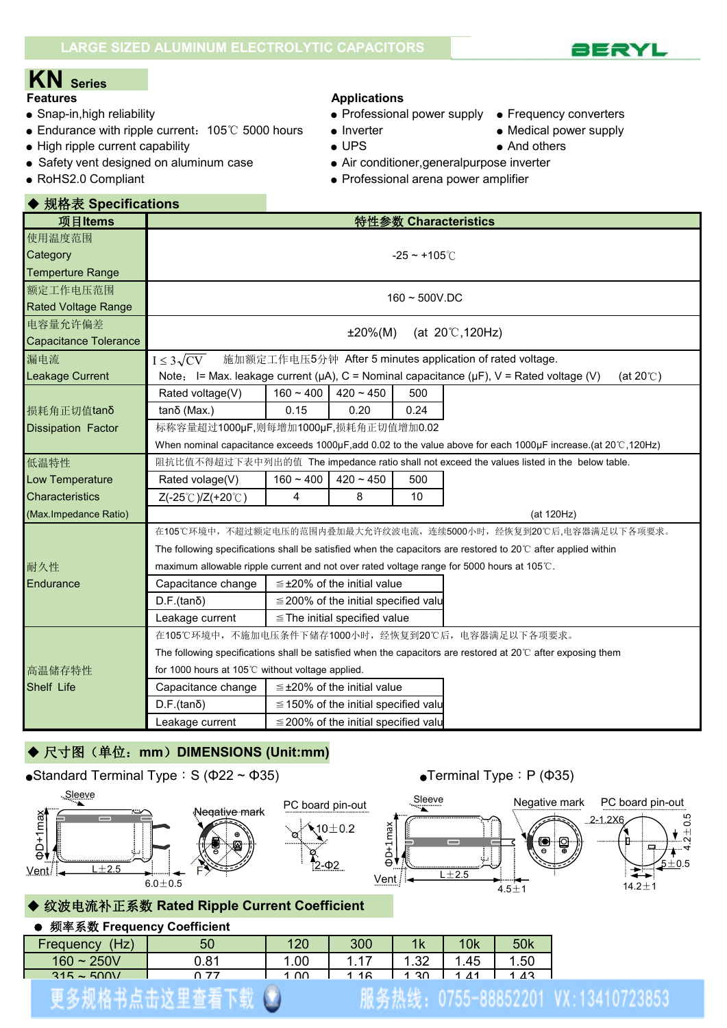

- 
- Endurance with ripple current: 105℃ 5000 hours Inverter Nedical power supply
- High ripple current capability  $\bullet$  UPS And others
- Safety vent designed on aluminum case <br>• Air conditioner, generalpurpose inverter
- 

### **Features Applications**

- Snap-in,high reliability example and the Professional power supply Frequency converters
	-
	-
- 
- 
- RoHS2.0 Compliant Professional arena power amplifier

| ◆ 规格表 Specifications   |                                                                                                                         |                                                                                                                           |                                           |                      |                                                                                            |  |  |  |  |  |  |
|------------------------|-------------------------------------------------------------------------------------------------------------------------|---------------------------------------------------------------------------------------------------------------------------|-------------------------------------------|----------------------|--------------------------------------------------------------------------------------------|--|--|--|--|--|--|
| 项目Items                |                                                                                                                         |                                                                                                                           |                                           |                      | 特性参数 Characteristics                                                                       |  |  |  |  |  |  |
| 使用温度范围                 |                                                                                                                         |                                                                                                                           |                                           |                      |                                                                                            |  |  |  |  |  |  |
| Category               |                                                                                                                         |                                                                                                                           |                                           | $-25 - +105^{\circ}$ |                                                                                            |  |  |  |  |  |  |
| Temperture Range       |                                                                                                                         |                                                                                                                           |                                           |                      |                                                                                            |  |  |  |  |  |  |
| 额定工作电压范围               | $160 - 500V$ .DC                                                                                                        |                                                                                                                           |                                           |                      |                                                                                            |  |  |  |  |  |  |
| Rated Voltage Range    |                                                                                                                         |                                                                                                                           |                                           |                      |                                                                                            |  |  |  |  |  |  |
| 电容量允许偏差                |                                                                                                                         | (at $20^{\circ}$ C, 120Hz)<br>$±20\%(M)$                                                                                  |                                           |                      |                                                                                            |  |  |  |  |  |  |
| Capacitance Tolerance  |                                                                                                                         |                                                                                                                           |                                           |                      |                                                                                            |  |  |  |  |  |  |
| 漏电流                    | 施加额定工作电压5分钟 After 5 minutes application of rated voltage.<br>$I \leq 3\sqrt{CV}$                                        |                                                                                                                           |                                           |                      |                                                                                            |  |  |  |  |  |  |
| Leakage Current        |                                                                                                                         | Note: I= Max. leakage current ( $\mu$ A), C = Nominal capacitance ( $\mu$ F), V = Rated voltage (V)<br>(at $20^{\circ}$ ) |                                           |                      |                                                                                            |  |  |  |  |  |  |
|                        | Rated voltage(V)                                                                                                        | $160 - 400$                                                                                                               | $420 - 450$                               | 500                  |                                                                                            |  |  |  |  |  |  |
| 损耗角正切值tanδ             | tanδ (Max.)                                                                                                             | 0.15                                                                                                                      | 0.20                                      | 0.24                 |                                                                                            |  |  |  |  |  |  |
| Dissipation Factor     | 标称容量超过1000µF,则每增加1000µF,损耗角正切值增加0.02                                                                                    |                                                                                                                           |                                           |                      |                                                                                            |  |  |  |  |  |  |
|                        |                                                                                                                         | When nominal capacitance exceeds 1000µF, add 0.02 to the value above for each 1000µF increase.(at 20 $\degree$ C, 120Hz)  |                                           |                      |                                                                                            |  |  |  |  |  |  |
| 低温特性                   |                                                                                                                         |                                                                                                                           |                                           |                      | 阻抗比值不得超过下表中列出的值 The impedance ratio shall not exceed the values listed in the below table. |  |  |  |  |  |  |
| Low Temperature        | Rated volage(V)                                                                                                         | $160 - 400$                                                                                                               | $420 - 450$                               | 500                  |                                                                                            |  |  |  |  |  |  |
| <b>Characteristics</b> | Z(-25℃)/Z(+20℃)                                                                                                         | $\overline{4}$                                                                                                            | 8                                         | 10                   |                                                                                            |  |  |  |  |  |  |
| (Max.Impedance Ratio)  |                                                                                                                         |                                                                                                                           |                                           |                      | (at 120Hz)                                                                                 |  |  |  |  |  |  |
|                        | 在105℃环境中,不超过额定电压的范围内叠加最大允许纹波电流,连续5000小时,经恢复到20℃后.电容器满足以下各项要求。                                                           |                                                                                                                           |                                           |                      |                                                                                            |  |  |  |  |  |  |
|                        | The following specifications shall be satisfied when the capacitors are restored to 20 $\degree$ C after applied within |                                                                                                                           |                                           |                      |                                                                                            |  |  |  |  |  |  |
| 耐久性                    |                                                                                                                         |                                                                                                                           |                                           |                      | maximum allowable ripple current and not over rated voltage range for 5000 hours at 105°C. |  |  |  |  |  |  |
| Endurance              | Capacitance change                                                                                                      |                                                                                                                           | $\leq$ ±20% of the initial value          |                      |                                                                                            |  |  |  |  |  |  |
|                        | $D.F.(tan\delta)$                                                                                                       |                                                                                                                           | $\leq$ 200% of the initial specified valu |                      |                                                                                            |  |  |  |  |  |  |
|                        | Leakage current                                                                                                         |                                                                                                                           | $\le$ The initial specified value         |                      |                                                                                            |  |  |  |  |  |  |
|                        |                                                                                                                         |                                                                                                                           |                                           |                      | 在105℃环境中,不施加电压条件下储存1000小时,经恢复到20℃后,电容器满足以下各项要求。                                            |  |  |  |  |  |  |
|                        |                                                                                                                         | The following specifications shall be satisfied when the capacitors are restored at $20^{\circ}$ after exposing them      |                                           |                      |                                                                                            |  |  |  |  |  |  |
| 高温储存特性                 | for 1000 hours at 105°C without voltage applied.                                                                        |                                                                                                                           |                                           |                      |                                                                                            |  |  |  |  |  |  |
| Shelf Life             | Capacitance change                                                                                                      |                                                                                                                           | $\leq$ ±20% of the initial value          |                      |                                                                                            |  |  |  |  |  |  |
|                        | $D.F.(tan\delta)$                                                                                                       |                                                                                                                           | $\leq$ 150% of the initial specified valu |                      |                                                                                            |  |  |  |  |  |  |
|                        | Leakage current                                                                                                         |                                                                                                                           | $\leq$ 200% of the initial specified valu |                      |                                                                                            |  |  |  |  |  |  |

### ◆ 尺寸图(单位: mm) DIMENSIONS (Unit:mm)

### •Standard Terminal Type: S (Φ22 ~ Φ35) • Terminal Type: P (Φ35)





### ◆ 纹波电流补正系数 **Rated Ripple Current Coefficient**

### ● 频率系数 **Frequency Coefficient**

| າາ<br>. .50<br>$\overline{ }$<br>. .45<br>00.1<br>$160 - 250V$<br>0.81<br>1 <sup>2</sup><br>ラフ<br>1 <sup>2</sup><br>$\overline{11}$ | (Hz)<br>Frequency | 50 | 120  | 300 | 1 <sub>k</sub> | 10 <sub>k</sub> | 50k |
|-------------------------------------------------------------------------------------------------------------------------------------|-------------------|----|------|-----|----------------|-----------------|-----|
|                                                                                                                                     |                   |    |      |     |                |                 |     |
|                                                                                                                                     | $315 \approx 500$ |    | 1.00 |     | ี 30           |                 |     |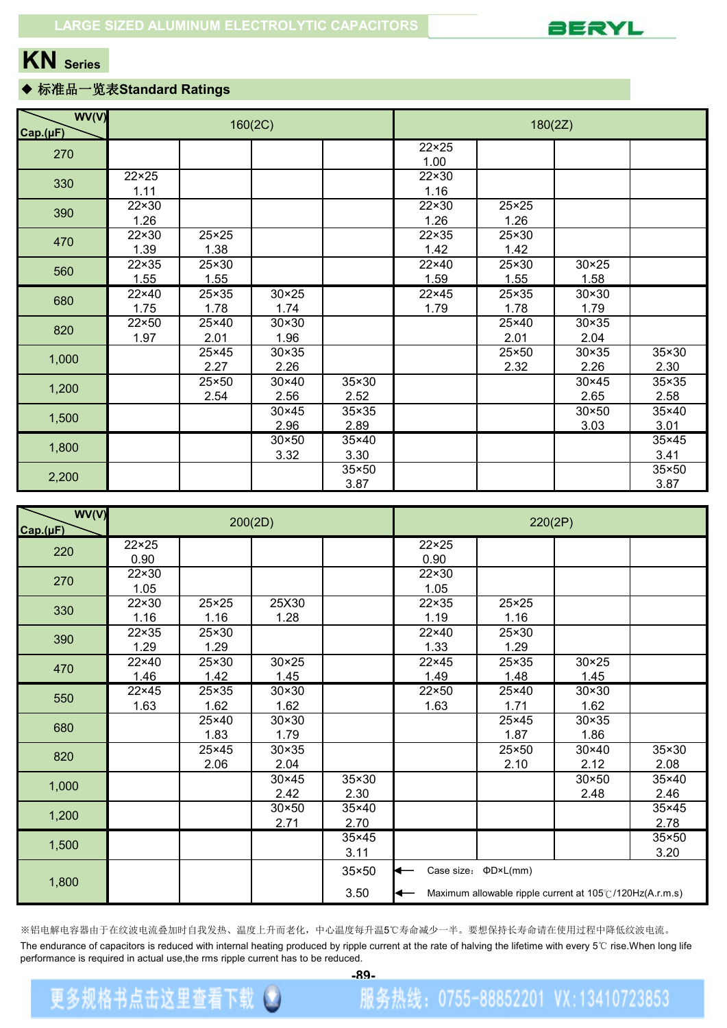

### ◆ 标准品一览表**Standard Ratings**

| WV(V)<br>Cap.(µF) |               |                        | 160(2C)                |                      |                        | 180(2Z)                |                        |                        |  |  |  |  |
|-------------------|---------------|------------------------|------------------------|----------------------|------------------------|------------------------|------------------------|------------------------|--|--|--|--|
| 270               |               |                        |                        |                      | $22 \times 25$<br>1.00 |                        |                        |                        |  |  |  |  |
| 330               | 22×25<br>1.11 |                        |                        |                      | 22×30<br>1.16          |                        |                        |                        |  |  |  |  |
| 390               | 22×30<br>1.26 |                        |                        |                      | 22×30<br>1.26          | $25 \times 25$<br>1.26 |                        |                        |  |  |  |  |
| 470               | 22×30<br>1.39 | $25 \times 25$<br>1.38 |                        |                      | 22×35<br>1.42          | 25×30<br>1.42          |                        |                        |  |  |  |  |
| 560               | 22×35<br>1.55 | 25×30<br>1.55          |                        |                      | 22×40<br>1.59          | 25×30<br>1.55          | $30 \times 25$<br>1.58 |                        |  |  |  |  |
| 680               | 22×40<br>1.75 | 25×35<br>1.78          | $30 \times 25$<br>1.74 |                      | 22×45<br>1.79          | 25×35<br>1.78          | 30×30<br>1.79          |                        |  |  |  |  |
| 820               | 22×50<br>1.97 | 25×40<br>2.01          | $30 \times 30$<br>1.96 |                      |                        | 25×40<br>2.01          | 30×35<br>2.04          |                        |  |  |  |  |
| 1,000             |               | 25×45<br>2.27          | $30 \times 35$<br>2.26 |                      |                        | 25×50<br>2.32          | $30 \times 35$<br>2.26 | 35×30<br>2.30          |  |  |  |  |
| 1,200             |               | 25×50<br>2.54          | $30 \times 40$<br>2.56 | 35×30<br>2.52        |                        |                        | 30×45<br>2.65          | 35×35<br>2.58          |  |  |  |  |
| 1,500             |               |                        | $30 \times 45$<br>2.96 | 35×35<br>2.89        |                        |                        | $30 \times 50$<br>3.03 | 35×40<br>3.01          |  |  |  |  |
| 1,800             |               |                        | $30 \times 50$<br>3.32 | 35×40<br>3.30        |                        |                        |                        | 35×45<br>3.41          |  |  |  |  |
| 2,200             |               |                        |                        | $35\times50$<br>3.87 |                        |                        |                        | $35 \times 50$<br>3.87 |  |  |  |  |

| WV(V)<br>Cap.(µF) |                        |                        | 200(2D)                |                        | 220(2P)                |                                                                                              |                        |                        |  |  |  |
|-------------------|------------------------|------------------------|------------------------|------------------------|------------------------|----------------------------------------------------------------------------------------------|------------------------|------------------------|--|--|--|
| 220               | $22 \times 25$<br>0.90 |                        |                        |                        | $22 \times 25$<br>0.90 |                                                                                              |                        |                        |  |  |  |
| 270               | 22×30<br>1.05          |                        |                        |                        | $22 \times 30$<br>1.05 |                                                                                              |                        |                        |  |  |  |
| 330               | 22×30<br>1.16          | $25 \times 25$<br>1.16 | 25X30<br>1.28          |                        | 22×35<br>1.19          | $25 \times 25$<br>1.16                                                                       |                        |                        |  |  |  |
| 390               | 22×35<br>1.29          | 25×30<br>1.29          |                        |                        | 22×40<br>1.33          | 25×30<br>1.29                                                                                |                        |                        |  |  |  |
| 470               | 22×40<br>1.46          | 25×30<br>1.42          | $30 \times 25$<br>1.45 |                        | $22 \times 45$<br>1.49 | 25×35<br>1.48                                                                                | $30 \times 25$<br>1.45 |                        |  |  |  |
| 550               | 22×45<br>1.63          | 25×35<br>1.62          | $30 \times 30$<br>1.62 |                        | $22\times50$<br>1.63   | 25×40<br>1.71                                                                                | $30 \times 30$<br>1.62 |                        |  |  |  |
| 680               |                        | 25×40<br>1.83          | $30 \times 30$<br>1.79 |                        |                        | 25×45<br>1.87                                                                                | $30 \times 35$<br>1.86 |                        |  |  |  |
| 820               |                        | 25×45<br>2.06          | $30 \times 35$<br>2.04 |                        |                        | 25×50<br>2.10                                                                                | $30 \times 40$<br>2.12 | 35×30<br>2.08          |  |  |  |
| 1,000             |                        |                        | $30 \times 45$<br>2.42 | 35×30<br>2.30          |                        |                                                                                              | $30 \times 50$<br>2.48 | 35×40<br>2.46          |  |  |  |
| 1,200             |                        |                        | $30 \times 50$<br>2.71 | $35\times40$<br>2.70   |                        |                                                                                              |                        | $35 \times 45$<br>2.78 |  |  |  |
| 1,500             |                        |                        |                        | 35×45<br>3.11          |                        |                                                                                              |                        | 35×50<br>3.20          |  |  |  |
| 1,800             |                        |                        |                        | $35 \times 50$<br>3.50 | к—<br>⇤                | Case size: $\Phi D \times L(mm)$<br>Maximum allowable ripple current at 105°C/120Hz(A.r.m.s) |                        |                        |  |  |  |

※铝电解电容器由于在纹波电流叠加时自我发热、温度上升而老化,中心温度每升温5℃寿命减少一半。要想保持长寿命请在使用过程中降低纹波电流。 The endurance of capacitors is reduced with internal heating produced by ripple current at the rate of halving the lifetime with every 5℃ rise.When long life performance is required in actual use, the rms ripple current has to be reduced.

更多规格书点击这里查看下载 3

**[-89-](http://www.ipengs.com/download/)**

服务热线: 0755-88852201 VX:13410723853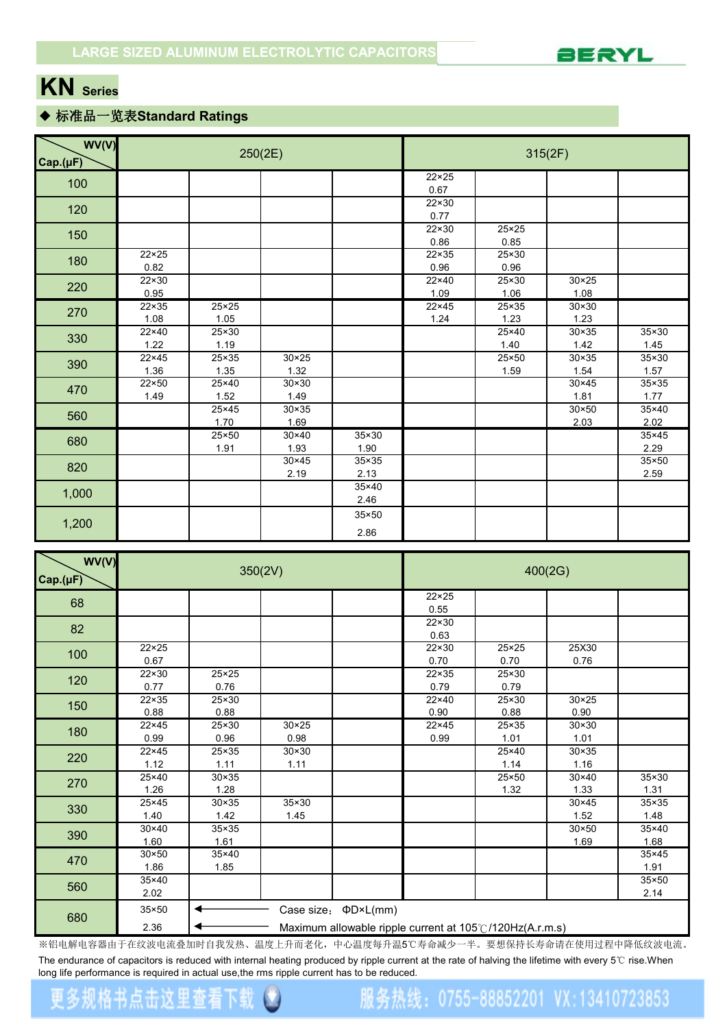

### ◆ 标准品一览表**Standard Ratings**

| WV(V)<br>Cap.(µF) |                        |                        | 250(2E)                |                        | 315(2F)                |                        |                        |                        |  |  |
|-------------------|------------------------|------------------------|------------------------|------------------------|------------------------|------------------------|------------------------|------------------------|--|--|
| 100               |                        |                        |                        |                        | $22 \times 25$<br>0.67 |                        |                        |                        |  |  |
| 120               |                        |                        |                        |                        | $22 \times 30$<br>0.77 |                        |                        |                        |  |  |
| 150               |                        |                        |                        |                        | 22×30<br>0.86          | 25×25<br>0.85          |                        |                        |  |  |
| 180               | $22 \times 25$<br>0.82 |                        |                        |                        | 22×35<br>0.96          | $25 \times 30$<br>0.96 |                        |                        |  |  |
| 220               | $22 \times 30$<br>0.95 |                        |                        |                        | 22×40<br>1.09          | 25×30<br>1.06          | $30 \times 25$<br>1.08 |                        |  |  |
| 270               | $22 \times 35$<br>1.08 | $25 \times 25$<br>1.05 |                        |                        | $22 \times 45$<br>1.24 | 25×35<br>1.23          | $30 \times 30$<br>1.23 |                        |  |  |
| 330               | 22×40<br>1.22          | 25×30<br>1.19          |                        |                        |                        | 25×40<br>1.40          | $30 \times 35$<br>1.42 | 35×30<br>1.45          |  |  |
| 390               | 22×45<br>1.36          | 25×35<br>1.35          | $30 \times 25$<br>1.32 |                        |                        | 25×50<br>1.59          | $30 \times 35$<br>1.54 | $35 \times 30$<br>1.57 |  |  |
| 470               | 22×50<br>1.49          | 25×40<br>1.52          | $30 \times 30$<br>1.49 |                        |                        |                        | $30 \times 45$<br>1.81 | $35 \times 35$<br>1.77 |  |  |
| 560               |                        | 25×45<br>1.70          | $30 \times 35$<br>1.69 |                        |                        |                        | $30 \times 50$<br>2.03 | $35 \times 40$<br>2.02 |  |  |
| 680               |                        | 25×50<br>1.91          | 30×40<br>1.93          | $35 \times 30$<br>1.90 |                        |                        |                        | $35 \times 45$<br>2.29 |  |  |
| 820               |                        |                        | 30×45<br>2.19          | $35 \times 35$<br>2.13 |                        |                        |                        | $35 \times 50$<br>2.59 |  |  |
| 1,000             |                        |                        |                        | 35×40<br>2.46          |                        |                        |                        |                        |  |  |
| 1,200             |                        |                        |                        | $35 \times 50$<br>2.86 |                        |                        |                        |                        |  |  |

| WV(V)<br>Cap.(µF) |                        |                        | 350(2V)                | 400(2G)                                                  |                        |               |                        |                        |  |  |
|-------------------|------------------------|------------------------|------------------------|----------------------------------------------------------|------------------------|---------------|------------------------|------------------------|--|--|
| 68                |                        |                        |                        |                                                          | $22 \times 25$<br>0.55 |               |                        |                        |  |  |
| 82                |                        |                        |                        |                                                          | $22 \times 30$<br>0.63 |               |                        |                        |  |  |
| 100               | $22 \times 25$<br>0.67 |                        |                        |                                                          | $22 \times 30$<br>0.70 | 25×25<br>0.70 | 25X30<br>0.76          |                        |  |  |
| 120               | 22×30<br>0.77          | $25 \times 25$<br>0.76 |                        |                                                          | $22 \times 35$<br>0.79 | 25×30<br>0.79 |                        |                        |  |  |
| 150               | $22 \times 35$<br>0.88 | 25×30<br>0.88          |                        |                                                          | $22\times 40$<br>0.90  | 25×30<br>0.88 | $30 \times 25$<br>0.90 |                        |  |  |
| 180               | $22 \times 45$<br>0.99 | 25×30<br>0.96          | $30 \times 25$<br>0.98 |                                                          | $22 \times 45$<br>0.99 | 25×35<br>1.01 | $30 \times 30$<br>1.01 |                        |  |  |
| 220               | 22×45<br>1.12          | 25×35<br>1.11          | $30 \times 30$<br>1.11 |                                                          |                        | 25×40<br>1.14 | $30 \times 35$<br>1.16 |                        |  |  |
| 270               | 25×40<br>1.26          | $30 \times 35$<br>1.28 |                        |                                                          |                        | 25×50<br>1.32 | $30 \times 40$<br>1.33 | $35 \times 30$<br>1.31 |  |  |
| 330               | 25×45<br>1.40          | $30 \times 35$<br>1.42 | 35×30<br>1.45          |                                                          |                        |               | $30 \times 45$<br>1.52 | $35 \times 35$<br>1.48 |  |  |
| 390               | $30 \times 40$<br>1.60 | $35 \times 35$<br>1.61 |                        |                                                          |                        |               | $30 \times 50$<br>1.69 | $35 \times 40$<br>1.68 |  |  |
| 470               | $30 \times 50$<br>1.86 | $35\times40$<br>1.85   |                        |                                                          |                        |               |                        | $35 \times 45$<br>1.91 |  |  |
| 560               | 35×40<br>2.02          |                        |                        |                                                          |                        |               |                        | $35 \times 50$<br>2.14 |  |  |
| 680               | $35 \times 50$         |                        |                        | Case size: $\Phi D \times L$ (mm)                        |                        |               |                        |                        |  |  |
|                   | 2.36                   |                        |                        | Maximum allowable ripple current at 105°C/120Hz(A.r.m.s) |                        |               |                        |                        |  |  |

※铝电解电容器由于在纹波电流叠加时自我发热、温度上升而老化,中心温度每升温5℃寿命减少一半。要想保持长寿命请在使用过程中降低纹波电流。 The endurance of capacitors is reduced with internal heating produced by ripple current at the rate of halving the lifetime with every 5℃ rise.When long life performance is required in actual use,the rms ripple current has to be reduced.

### 更多规格书点击这里查看 下勤

## 服务热线: 0755-88852201 VX:13410723853